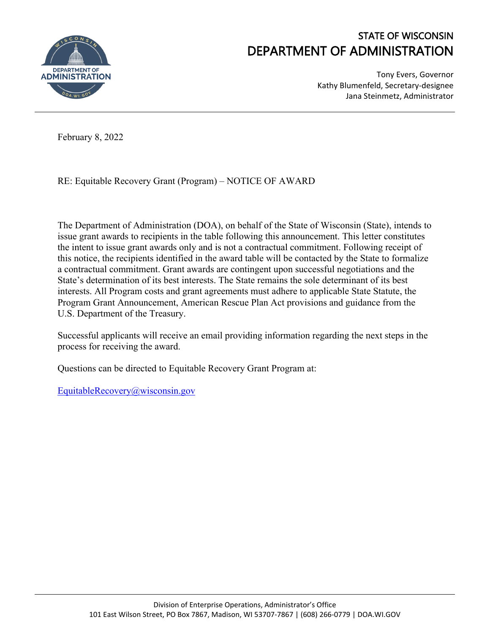

## STATE OF WISCONSIN DEPARTMENT OF ADMINISTRATION

Tony Evers, Governor Kathy Blumenfeld, Secretary-designee Jana Steinmetz, Administrator

February 8, 2022

RE: Equitable Recovery Grant (Program) – NOTICE OF AWARD

The Department of Administration (DOA), on behalf of the State of Wisconsin (State), intends to issue grant awards to recipients in the table following this announcement. This letter constitutes the intent to issue grant awards only and is not a contractual commitment. Following receipt of this notice, the recipients identified in the award table will be contacted by the State to formalize a contractual commitment. Grant awards are contingent upon successful negotiations and the State's determination of its best interests. The State remains the sole determinant of its best interests. All Program costs and grant agreements must adhere to applicable State Statute, the Program Grant Announcement, American Rescue Plan Act provisions and guidance from the U.S. Department of the Treasury.

Successful applicants will receive an email providing information regarding the next steps in the process for receiving the award.

Questions can be directed to Equitable Recovery Grant Program at:

[EquitableRecovery@wisconsin.gov](mailto:EquitableRecovery@wisconsin.gov)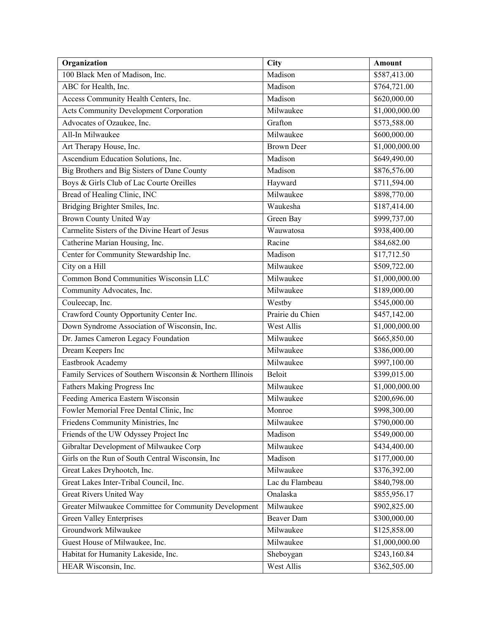| Organization                                              | City              | Amount                   |
|-----------------------------------------------------------|-------------------|--------------------------|
| 100 Black Men of Madison, Inc.                            | Madison           | \$587,413.00             |
| ABC for Health, Inc.                                      | Madison           | \$764,721.00             |
| Access Community Health Centers, Inc.                     | Madison           | \$620,000.00             |
| Acts Community Development Corporation                    | Milwaukee         | \$1,000,000.00           |
| Advocates of Ozaukee, Inc.                                | Grafton           | \$573,588.00             |
| All-In Milwaukee                                          | Milwaukee         | \$600,000.00             |
| Art Therapy House, Inc.                                   | <b>Brown Deer</b> | \$1,000,000.00           |
| Ascendium Education Solutions, Inc.                       | Madison           | \$649,490.00             |
| Big Brothers and Big Sisters of Dane County               | Madison           | \$876,576.00             |
| Boys & Girls Club of Lac Courte Oreilles                  | Hayward           | \$711,594.00             |
| Bread of Healing Clinic, INC                              | Milwaukee         | \$898,770.00             |
| Bridging Brighter Smiles, Inc.                            | Waukesha          | \$187,414.00             |
| <b>Brown County United Way</b>                            | Green Bay         | \$999,737.00             |
| Carmelite Sisters of the Divine Heart of Jesus            | Wauwatosa         | \$938,400.00             |
| Catherine Marian Housing, Inc.                            | Racine            | \$84,682.00              |
| Center for Community Stewardship Inc.                     | Madison           | \$17,712.50              |
| City on a Hill                                            | Milwaukee         | \$509,722.00             |
| <b>Common Bond Communities Wisconsin LLC</b>              | Milwaukee         | \$1,000,000.00           |
| Community Advocates, Inc.                                 | Milwaukee         | \$189,000.00             |
| Couleecap, Inc.                                           | Westby            | \$545,000.00             |
| Crawford County Opportunity Center Inc.                   | Prairie du Chien  | \$457,142.00             |
| Down Syndrome Association of Wisconsin, Inc.              | West Allis        | \$1,000,000.00           |
| Dr. James Cameron Legacy Foundation                       | Milwaukee         | \$665,850.00             |
| Dream Keepers Inc                                         | Milwaukee         | \$386,000.00             |
| Eastbrook Academy                                         | Milwaukee         | \$997,100.00             |
| Family Services of Southern Wisconsin & Northern Illinois | Beloit            | $\overline{$399,015.00}$ |
| Fathers Making Progress Inc                               | Milwaukee         | \$1,000,000.00           |
| Feeding America Eastern Wisconsin                         | Milwaukee         | \$200,696.00             |
| Fowler Memorial Free Dental Clinic, Inc                   | Monroe            | \$998,300.00             |
| Friedens Community Ministries, Inc                        | Milwaukee         | \$790,000.00             |
| Friends of the UW Odyssey Project Inc                     | Madison           | \$549,000.00             |
| Gibraltar Development of Milwaukee Corp                   | Milwaukee         | \$434,400.00             |
| Girls on the Run of South Central Wisconsin, Inc          | Madison           | \$177,000.00             |
| Great Lakes Dryhootch, Inc.                               | Milwaukee         | \$376,392.00             |
| Great Lakes Inter-Tribal Council, Inc.                    | Lac du Flambeau   | \$840,798.00             |
| Great Rivers United Way                                   | Onalaska          | \$855,956.17             |
| Greater Milwaukee Committee for Community Development     | Milwaukee         | \$902,825.00             |
| <b>Green Valley Enterprises</b>                           | Beaver Dam        | \$300,000.00             |
| Groundwork Milwaukee                                      | Milwaukee         | \$125,858.00             |
| Guest House of Milwaukee, Inc.                            | Milwaukee         | \$1,000,000.00           |
| Habitat for Humanity Lakeside, Inc.                       | Sheboygan         | \$243,160.84             |
| HEAR Wisconsin, Inc.                                      | West Allis        | \$362,505.00             |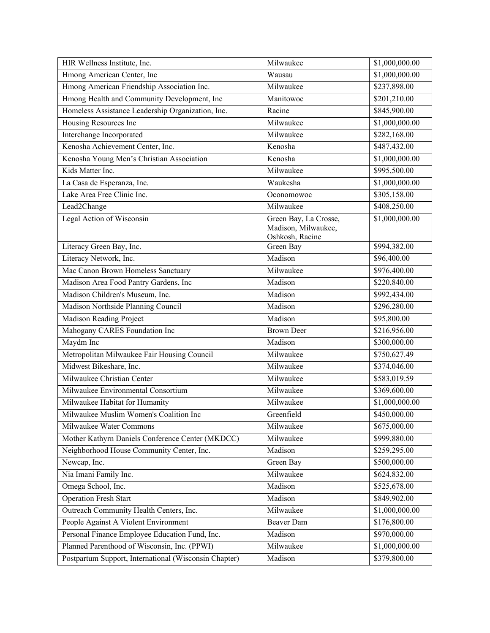| HIR Wellness Institute, Inc.                          | Milwaukee                              | \$1,000,000.00 |
|-------------------------------------------------------|----------------------------------------|----------------|
| Hmong American Center, Inc                            | Wausau                                 | \$1,000,000.00 |
| Hmong American Friendship Association Inc.            | Milwaukee                              | \$237,898.00   |
| Hmong Health and Community Development, Inc           | Manitowoc                              | \$201,210.00   |
| Homeless Assistance Leadership Organization, Inc.     | Racine                                 | \$845,900.00   |
| Housing Resources Inc                                 | Milwaukee                              | \$1,000,000.00 |
| Interchange Incorporated                              | Milwaukee                              | \$282,168.00   |
| Kenosha Achievement Center, Inc.                      | Kenosha                                | \$487,432.00   |
| Kenosha Young Men's Christian Association             | Kenosha                                | \$1,000,000.00 |
| Kids Matter Inc.                                      | Milwaukee                              | \$995,500.00   |
| La Casa de Esperanza, Inc.                            | Waukesha                               | \$1,000,000.00 |
| Lake Area Free Clinic Inc.                            | Oconomowoc                             | \$305,158.00   |
| Lead2Change                                           | Milwaukee                              | \$408,250.00   |
| Legal Action of Wisconsin                             | Green Bay, La Crosse,                  | \$1,000,000.00 |
|                                                       | Madison, Milwaukee,<br>Oshkosh, Racine |                |
| Literacy Green Bay, Inc.                              | Green Bay                              | \$994,382.00   |
| Literacy Network, Inc.                                | Madison                                | \$96,400.00    |
| Mac Canon Brown Homeless Sanctuary                    | Milwaukee                              | \$976,400.00   |
| Madison Area Food Pantry Gardens, Inc                 | Madison                                | \$220,840.00   |
| Madison Children's Museum, Inc.                       | Madison                                | \$992,434.00   |
| Madison Northside Planning Council                    | Madison                                | \$296,280.00   |
| Madison Reading Project                               | Madison                                | \$95,800.00    |
| Mahogany CARES Foundation Inc                         | <b>Brown Deer</b>                      | \$216,956.00   |
| Maydm Inc                                             | Madison                                | \$300,000.00   |
| Metropolitan Milwaukee Fair Housing Council           | Milwaukee                              | \$750,627.49   |
| Midwest Bikeshare, Inc.                               | Milwaukee                              | \$374,046.00   |
| Milwaukee Christian Center                            | Milwaukee                              | \$583,019.59   |
| Milwaukee Environmental Consortium                    | Milwaukee                              | \$369,600.00   |
| Milwaukee Habitat for Humanity                        | Milwaukee                              | \$1,000,000.00 |
| Milwaukee Muslim Women's Coalition Inc                | Greenfield                             | \$450,000.00   |
| Milwaukee Water Commons                               | Milwaukee                              | \$675,000.00   |
| Mother Kathyrn Daniels Conference Center (MKDCC)      | Milwaukee                              | \$999,880.00   |
| Neighborhood House Community Center, Inc.             | Madison                                | \$259,295.00   |
| Newcap, Inc.                                          | Green Bay                              | \$500,000.00   |
| Nia Imani Family Inc.                                 | Milwaukee                              | \$624,832.00   |
| Omega School, Inc.                                    | Madison                                | \$525,678.00   |
| <b>Operation Fresh Start</b>                          | Madison                                | \$849,902.00   |
| Outreach Community Health Centers, Inc.               | Milwaukee                              | \$1,000,000.00 |
| People Against A Violent Environment                  | Beaver Dam                             | \$176,800.00   |
| Personal Finance Employee Education Fund, Inc.        | Madison                                | \$970,000.00   |
| Planned Parenthood of Wisconsin, Inc. (PPWI)          | Milwaukee                              | \$1,000,000.00 |
| Postpartum Support, International (Wisconsin Chapter) | Madison                                | \$379,800.00   |